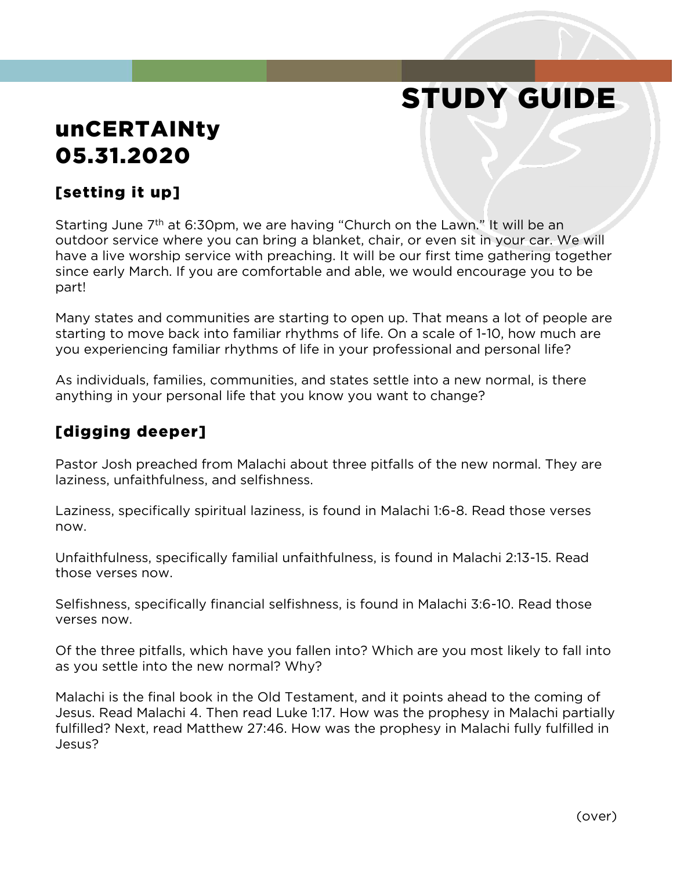# STUDY GUIDE

# unCERTAINty 05.31.2020

# [setting it up]

Starting June 7<sup>th</sup> at 6:30pm, we are having "Church on the Lawn." It will be an outdoor service where you can bring a blanket, chair, or even sit in your car. We will have a live worship service with preaching. It will be our first time gathering together since early March. If you are comfortable and able, we would encourage you to be part!

Many states and communities are starting to open up. That means a lot of people are starting to move back into familiar rhythms of life. On a scale of 1-10, how much are you experiencing familiar rhythms of life in your professional and personal life?

As individuals, families, communities, and states settle into a new normal, is there anything in your personal life that you know you want to change?

### [digging deeper]

Pastor Josh preached from Malachi about three pitfalls of the new normal. They are laziness, unfaithfulness, and selfishness.

Laziness, specifically spiritual laziness, is found in Malachi 1:6-8. Read those verses now.

Unfaithfulness, specifically familial unfaithfulness, is found in Malachi 2:13-15. Read those verses now.

Selfishness, specifically financial selfishness, is found in Malachi 3:6-10. Read those verses now.

Of the three pitfalls, which have you fallen into? Which are you most likely to fall into as you settle into the new normal? Why?

Malachi is the final book in the Old Testament, and it points ahead to the coming of Jesus. Read Malachi 4. Then read Luke 1:17. How was the prophesy in Malachi partially fulfilled? Next, read Matthew 27:46. How was the prophesy in Malachi fully fulfilled in Jesus?